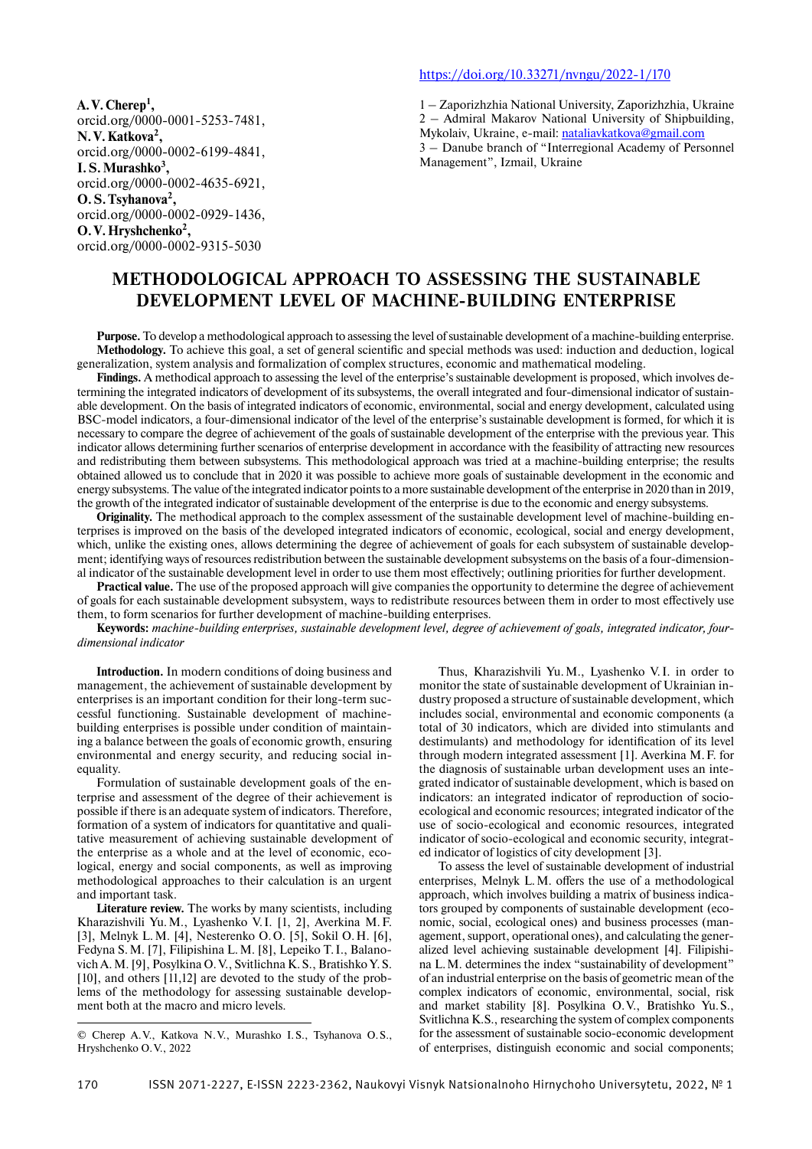**A. V. Cherep1 ,** orcid.org/0000-0001-5253-7481, **N. V. Katkova2 ,** orcid.org/0000-0002-6199-4841, **I. S. Murashko3 ,** orcid.org/0000-0002-4635-6921, **O. S. Tsyhanova2 ,** orcid.org/0000-0002-0929-1436, **O. V. Hryshchenko2 ,** orcid.org/0000-0002-9315-5030

#### https://doi.org/10.33271/nvngu/2022-1/170

1 – Zaporizhzhia National University, Zaporizhzhia, Ukraine 2 – Admiral Makarov National University of Shipbuilding, Mykolaiv, Ukraine, e-mail: nataliavkatkova@gmail.com 3 – Danube branch of "Interregional Academy of Personnel Management", Izmail, Ukraine

# **METHODOLOGICAL APPROACH TO ASSESSING THE SUSTAINABLE DEVELOPMENT LEVEL OF MACHINE-BUILDING ENTERPRISE**

**Purpose.** To develop a methodological approach to assessing the level of sustainable development of a machine-building enterprise. **Methodology.** To achieve this goal, a set of general scientific and special methods was used: induction and deduction, logical generalization, system analysis and formalization of complex structures, economic and mathematical modeling.

**Findings.** A methodical approach to assessing the level of the enterprise's sustainable development is proposed, which involves determining the integrated indicators of development of its subsystems, the overall integrated and four-dimensional indicator of sustainable development. On the basis of integrated indicators of economic, environmental, social and energy development, calculated using BSC-model indicators, a four-dimensional indicator of the level of the enterprise's sustainable development is formed, for which it is necessary to compare the degree of achievement of the goals of sustainable development of the enterprise with the previous year. This indicator allows determining further scenarios of enterprise development in accordance with the feasibility of attracting new resources and redistributing them between subsystems. This methodological approach was tried at a machine-building enterprise; the results obtained allowed us to conclude that in 2020 it was possible to achieve more goals of sustainable development in the economic and energy subsystems. The value of the integrated indicator points to a more sustainable development of the enterprise in 2020 than in 2019, the growth of the integrated indicator of sustainable development of the enterprise is due to the economic and energy subsystems.

**Originality.** The methodical approach to the complex assessment of the sustainable development level of machine-building enterprises is improved on the basis of the developed integrated indicators of economic, ecological, social and energy development, which, unlike the existing ones, allows determining the degree of achievement of goals for each subsystem of sustainable development; identifying ways of resources redistribution between the sustainable development subsystems on the basis of a four-dimensional indicator of the sustainable development level in order to use them most effectively; outlining priorities for further development.

**Practical value.** The use of the proposed approach will give companies the opportunity to determine the degree of achievement of goals for each sustainable development subsystem, ways to redistribute resources between them in order to most effectively use them, to form scenarios for further development of machine-building enterprises.

**Keywords:** *machine-building enterprises, sustainable development level, degree of achievement of goals, integrated indicator, fourdimensional indicator*

**Introduction.** In modern conditions of doing business and management, the achievement of sustainable development by enterprises is an important condition for their long-term successful functioning. Sustainable development of machinebuilding enterprises is possible under condition of maintaining a balance between the goals of economic growth, ensuring environmental and energy security, and reducing social inequality.

Formulation of sustainable development goals of the enterprise and assessment of the degree of their achievement is possible if there is an adequate system of indicators. Therefore, formation of a system of indicators for quantitative and qualitative measurement of achieving sustainable development of the enterprise as a whole and at the level of economic, ecological, energy and social components, as well as improving methodological approaches to their calculation is an urgent and important task.

**Literature review.** The works by many scientists, including Kharazishvili Yu. M., Lyashenko V. I. [1, 2], Averkina M. F. [3], Melnyk L. M. [4], Nesterenko O. O. [5], Sokil O. H. [6], Fedyna S. M. [7], Filipishina L. M. [8], Lepeiko T. I., Balanovich A. M. [9], Posylkina O. V., Svitlichna K. S., Bratishko Y. S. [10], and others [11,12] are devoted to the study of the problems of the methodology for assessing sustainable development both at the macro and micro levels.

Thus, Kharazishvili Yu. M., Lyashenko V. I. in order to monitor the state of sustainable development of Ukrainian industry proposed a structure of sustainable development, which includes social, environmental and economic components (a total of 30 indicators, which are divided into stimulants and destimulants) and methodology for identification of its level through modern integrated assessment [1]. Averkina M. F. for the diagnosis of sustainable urban development uses an integrated indicator of sustainable development, which is based on indicators: an integrated indicator of reproduction of socioecological and economic resources; integrated indicator of the use of socio-ecological and economic resources, integrated indicator of socio-ecological and economic security, integrated indicator of logistics of city development [3].

To assess the level of sustainable development of industrial enterprises, Melnyk L.M. offers the use of a methodological approach, which involves building a matrix of business indicators grouped by components of sustainable development (economic, social, ecological ones) and business processes (management, support, operational ones), and calculating the generalized level achieving sustainable development [4]. Filipishina L. M. determines the index "sustainability of development" of an industrial enterprise on the basis of geometric mean of the complex indicators of economic, environmental, social, risk and market stability [8]. Posylkina O. V., Bratishko Yu. S., Svitlichna K.S., researching the system of complex components for the assessment of sustainable socio-economic development of enterprises, distinguish economic and social components;

<sup>©</sup> Cherep A. V., Katkova N. V., Murashko I. S., Tsyhanova O. S., Hryshchenko O. V., 2022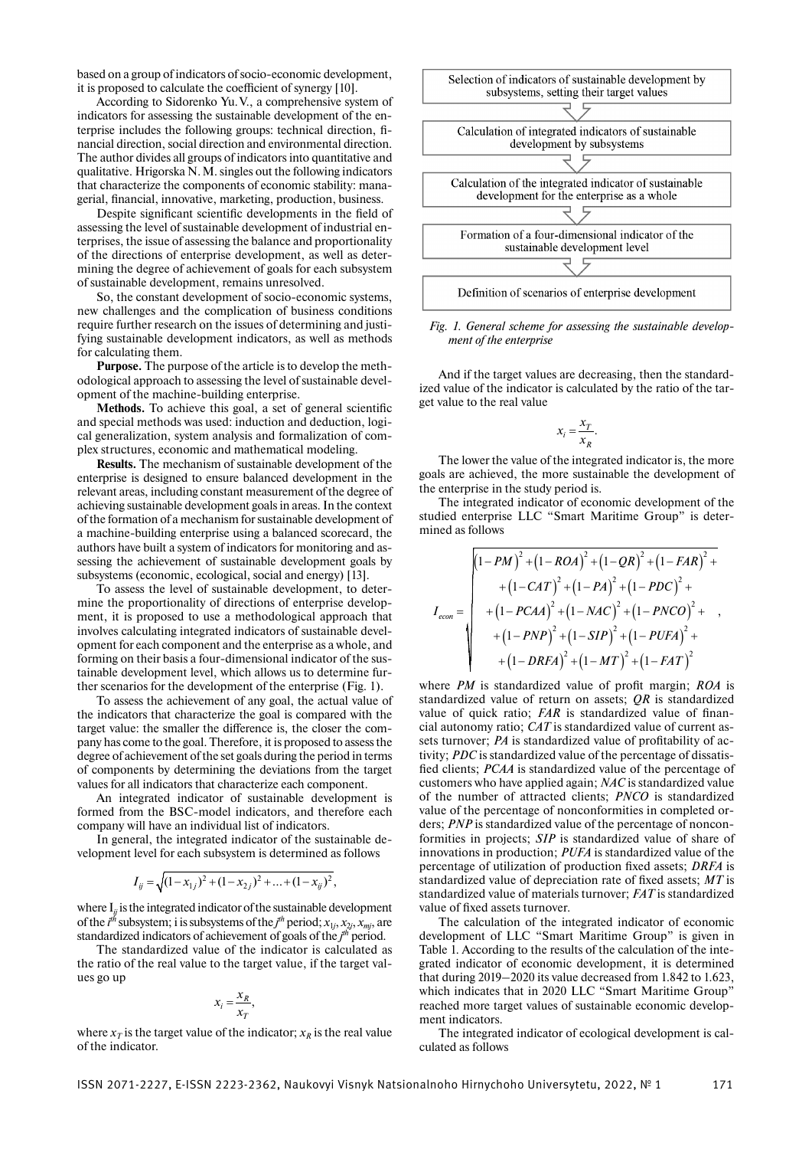based on a group of indicators of socio-economic development, it is proposed to calculate the coefficient of synergy [10].

According to Sidorenko Yu. V., a comprehensive system of indicators for assessing the sustainable development of the enterprise includes the following groups: technical direction, financial direction, social direction and environmental direction. The author divides all groups of indicators into quantitative and qualitative. Hrigorska N. M. singles out the following indicators that characterize the components of economic stability: managerial, financial, innovative, marketing, production, business.

Despite significant scientific developments in the field of assessing the level of sustainable development of industrial enterprises, the issue of assessing the balance and proportionality of the directions of enterprise development, as well as determining the degree of achievement of goals for each subsystem of sustainable development, remains unresolved.

So, the constant development of socio-economic systems, new challenges and the complication of business conditions require further research on the issues of determining and justifying sustainable development indicators, as well as methods for calculating them.

**Purpose.** The purpose of the article is to develop the methodological approach to assessing the level of sustainable development of the machine-building enterprise.

Methods. To achieve this goal, a set of general scientific and special methods was used: induction and deduction, logical generalization, system analysis and formalization of complex structures, economic and mathematical modeling.

**Results.** The mechanism of sustainable development of the enterprise is designed to ensure balanced development in the relevant areas, including constant measurement of the degree of achieving sustainable development goals in areas. In the context of the formation of a mechanism for sustainable development of a machine-building enterprise using a balanced scorecard, the authors have built a system of indicators for monitoring and assessing the achievement of sustainable development goals by subsystems (economic, ecological, social and energy) [13].

To assess the level of sustainable development, to determine the proportionality of directions of enterprise development, it is proposed to use a methodological approach that involves calculating integrated indicators of sustainable development for each component and the enterprise as a whole, and forming on their basis a four-dimensional indicator of the sustainable development level, which allows us to determine further scenarios for the development of the enterprise (Fig. 1).

To assess the achievement of any goal, the actual value of the indicators that characterize the goal is compared with the target value: the smaller the difference is, the closer the company has come to the goal. Therefore, it is proposed to assess the degree of achievement of the set goals during the period in terms of components by determining the deviations from the target values for all indicators that characterize each component.

An integrated indicator of sustainable development is formed from the BSC-model indicators, and therefore each company will have an individual list of indicators.

In general, the integrated indicator of the sustainable development level for each subsystem is determined as follows

$$
I_{ij} = \sqrt{(1 - x_{1j})^2 + (1 - x_{2j})^2 + \dots + (1 - x_{ij})^2},
$$

where  $I_{ii}$  is the integrated indicator of the sustainable development of the  $i^{th}$  subsystem; i is subsystems of the  $j^{th}$  period;  $x_{1j}, x_{2j}, x_{mj}$ , are standardized indicators of achievement of goals of the *j th* period.

The standardized value of the indicator is calculated as the ratio of the real value to the target value, if the target values go up

$$
x_i = \frac{x_R}{x_T},
$$

where  $x_T$  is the target value of the indicator;  $x_R$  is the real value of the indicator.



*Fig. 1. General scheme for assessing the sustainable development of the enterprise*

And if the target values are decreasing, then the standardized value of the indicator is calculated by the ratio of the target value to the real value

$$
x_i = \frac{x_T}{x_R}.
$$

The lower the value of the integrated indicator is, the more goals are achieved, the more sustainable the development of the enterprise in the study period is.

The integrated indicator of economic development of the studied enterprise LLC "Smart Maritime Group" is determined as follows

$$
I_{econ} = \begin{pmatrix} (1 - PM)^2 + (1 - ROA)^2 + (1 - QR)^2 + (1 - FAR)^2 + (1 - CAT)^2 + (1 - PA)^2 + (1 - PDC)^2 + (1 - PCAA)^2 + (1 - NAC)^2 + (1 - PNCO)^2 + (1 - PNP)^2 + (1 - SIP)^2 + (1 - PUFA)^2 + (1 - DRFA)^2 + (1 - BHT)^2 + (1 - BHT)^2 + (1 - BHT)^2 \end{pmatrix}
$$

where *PM* is standardized value of profit margin; *ROA* is standardized value of return on assets; *QR* is standardized value of quick ratio; *FAR* is standardized value of financial autonomy ratio; *CAT* is standardized value of current assets turnover; *PA* is standardized value of profitability of activity; *PDC* is standardized value of the percentage of dissatisfied clients; *PCAA* is standardized value of the percentage of customers who have applied again; *NAC* is standardized value of the number of attracted clients; *PNCO* is standardized value of the percentage of nonconformities in completed orders; *PNP* is standardized value of the percentage of nonconformities in projects; *SIP* is standardized value of share of innovations in production; *PUFA* is standardized value of the percentage of utilization of production fixed assets; *DRFA* is standardized value of depreciation rate of fixed assets;  $MT$  is standardized value of materials turnover; *FAT* is standardized value of fixed assets turnover.

The calculation of the integrated indicator of economic development of LLC "Smart Maritime Group" is given in Table 1. According to the results of the calculation of the integrated indicator of economic development, it is determined that during 2019–2020 its value decreased from 1.842 to 1.623, which indicates that in 2020 LLC "Smart Maritime Group" reached more target values of sustainable economic development indicators.

The integrated indicator of ecological development is calculated as follows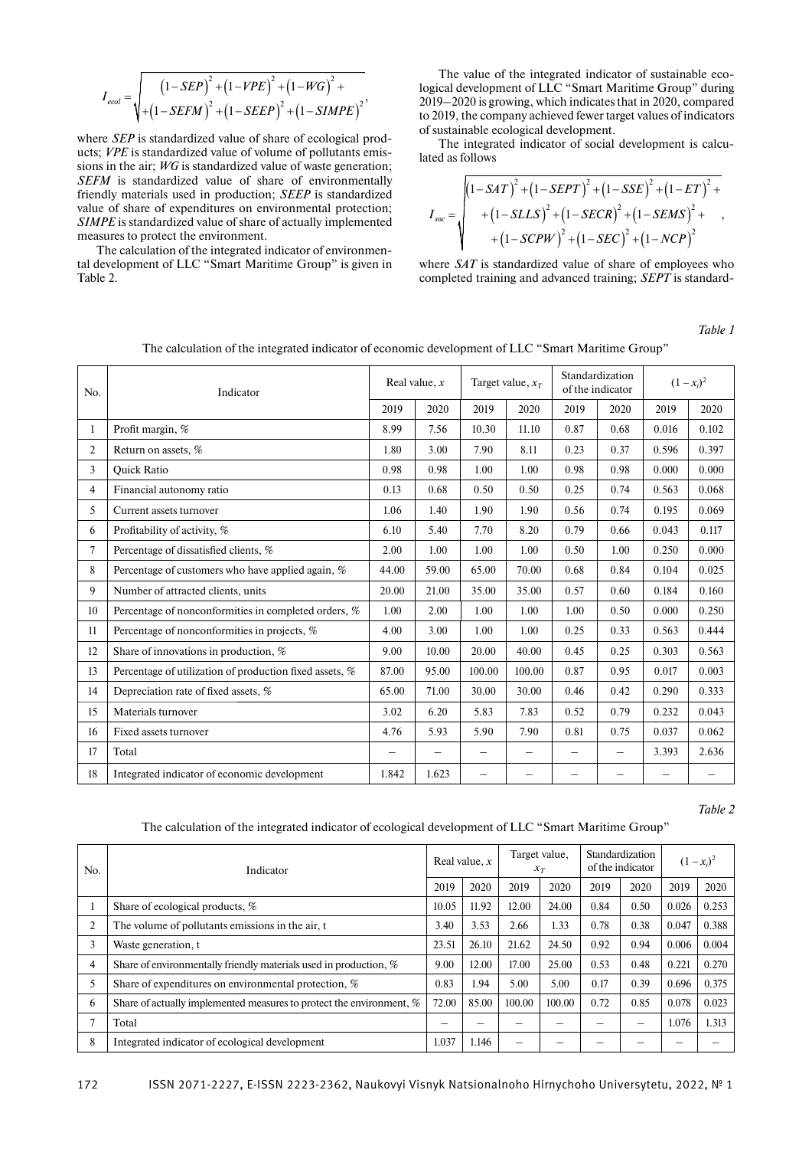$$
I_{ecol} = \sqrt{\frac{(1 - SEP)^{2} + (1 - VPE)^{2} + (1 - WG)^{2} + (1 - SLEP)^{2} + (1 - SIMPE)^{2}}{1 - SLEP + (1 - SIEP)^{2} + (1 - SIMPE)^{2}}}
$$

where *SEP* is standardized value of share of ecological products; *VPE* is standardized value of volume of pollutants emissions in the air; *WG* is standardized value of waste generation; *SEFM* is standardized value of share of environmentally friendly materials used in production; *SEEP* is standardized value of share of expenditures on environmental protection; *SIMPE* is standardized value of share of actually implemented measures to protect the environment.

The calculation of the integrated indicator of environmental development of LLC "Smart Maritime Group" is given in Table 2.

The value of the integrated indicator of sustainable ecological development of LLC "Smart Maritime Group" during 2019–2020 is growing, which indicates that in 2020, compared to 2019, the company achieved fewer target values of indicators of sustainable ecological development.

The integrated indicator of social development is calculated as follows

$$
I_{soc} = \sqrt{\frac{(1 - SAT)^2 + (1 - SEPT)^2 + (1 - SSE)^2 + (1 - ET)^2 + (1 - SLLS)^2 + (1 - SECR)^2 + (1 - SEMS)^2 + (1 - SEUN)^2 + (1 - SEUV)^2 + (1 - SECV)^2 + (1 - NCP)^2}}
$$

where *SAT* is standardized value of share of employees who completed training and advanced training; *SEPT* is standard-

*Table 1* 

| No.            | Indicator                                               |       | Real value, $x$   |                          | Target value, $x_T$      | Standardization<br>of the indicator |                   |       | $(1-x_i)^2$ |
|----------------|---------------------------------------------------------|-------|-------------------|--------------------------|--------------------------|-------------------------------------|-------------------|-------|-------------|
|                |                                                         | 2019  | 2020              | 2019                     | 2020                     | 2019                                | 2020              | 2019  | 2020        |
| 1              | Profit margin, %                                        | 8.99  | 7.56              | 10.30                    | 11.10                    | 0.87                                | 0.68              | 0.016 | 0.102       |
| $\overline{2}$ | Return on assets, %                                     | 1.80  | 3.00              | 7.90                     | 8.11                     | 0.23                                | 0.37              | 0.596 | 0.397       |
| 3              | <b>Ouick Ratio</b>                                      | 0.98  | 0.98              | 1.00                     | 1.00                     | 0.98                                | 0.98              | 0.000 | 0.000       |
| 4              | Financial autonomy ratio                                | 0.13  | 0.68              | 0.50                     | 0.50                     | 0.25                                | 0.74              | 0.563 | 0.068       |
| 5.             | Current assets turnover                                 | 1.06  | 1.40              | 1.90                     | 1.90                     | 0.56                                | 0.74              | 0.195 | 0.069       |
| 6              | Profitability of activity, %                            | 6.10  | 5.40              | 7.70                     | 8.20                     | 0.79                                | 0.66              | 0.043 | 0.117       |
| $\tau$         | Percentage of dissatisfied clients, %                   | 2.00  | 1.00              | 1.00                     | 1.00                     | 0.50                                | 1.00              | 0.250 | 0.000       |
| 8              | Percentage of customers who have applied again, %       | 44.00 | 59.00             | 65.00                    | 70.00                    | 0.68                                | 0.84              | 0.104 | 0.025       |
| 9              | Number of attracted clients, units                      | 20.00 | 21.00             | 35.00                    | 35.00                    | 0.57                                | 0.60              | 0.184 | 0.160       |
| 10             | Percentage of nonconformities in completed orders, %    | 1.00  | 2.00              | 1.00                     | 1.00                     | 1.00                                | 0.50              | 0.000 | 0.250       |
| 11             | Percentage of nonconformities in projects, %            | 4.00  | 3.00              | 1.00                     | 1.00                     | 0.25                                | 0.33              | 0.563 | 0.444       |
| 12             | Share of innovations in production, %                   | 9.00  | 10.00             | 20.00                    | 40.00                    | 0.45                                | 0.25              | 0.303 | 0.563       |
| 13             | Percentage of utilization of production fixed assets, % | 87.00 | 95.00             | 100.00                   | 100.00                   | 0.87                                | 0.95              | 0.017 | 0.003       |
| 14             | Depreciation rate of fixed assets, %                    | 65.00 | 71.00             | 30.00                    | 30.00                    | 0.46                                | 0.42              | 0.290 | 0.333       |
| 15             | Materials turnover                                      | 3.02  | 6.20              | 5.83                     | 7.83                     | 0.52                                | 0.79              | 0.232 | 0.043       |
| 16             | Fixed assets turnover                                   | 4.76  | 5.93              | 5.90                     | 7.90                     | 0.81                                | 0.75              | 0.037 | 0.062       |
| 17             | Total                                                   | —     | $\qquad \qquad -$ | $\overline{\phantom{0}}$ | $\overline{\phantom{0}}$ |                                     | $\qquad \qquad -$ | 3.393 | 2.636       |
| 18             | Integrated indicator of economic development            | 1.842 | 1.623             | $\equiv$                 |                          |                                     |                   |       |             |

The calculation of the integrated indicator of economic development of LLC "Smart Maritime Group"

*Table 2*

#### The calculation of the integrated indicator of ecological development of LLC "Smart Maritime Group"

| No. | Indicator                                                            |       | Real value, $x$ |        | Target value,<br>$x_T$ |      | Standardization<br>of the indicator | $(1-x_i)^2$ |       |
|-----|----------------------------------------------------------------------|-------|-----------------|--------|------------------------|------|-------------------------------------|-------------|-------|
|     |                                                                      | 2019  | 2020            | 2019   | 2020                   | 2019 | 2020                                | 2019        | 2020  |
|     | Share of ecological products, %                                      | 10.05 | 11.92           | 12.00  | 24.00                  | 0.84 | 0.50                                | 0.026       | 0.253 |
| 2   | The volume of pollutants emissions in the air, t                     | 3.40  | 3.53            | 2.66   | 1.33                   | 0.78 | 0.38                                | 0.047       | 0.388 |
| 3   | Waste generation, t                                                  | 23.51 | 26.10           | 21.62  | 24.50                  | 0.92 | 0.94                                | 0.006       | 0.004 |
| 4   | Share of environmentally friendly materials used in production, %    | 9.00  | 12.00           | 17.00  | 25.00                  | 0.53 | 0.48                                | 0.221       | 0.270 |
| 5   | Share of expenditures on environmental protection, %                 | 0.83  | 1.94            | 5.00   | 5.00                   | 0.17 | 0.39                                | 0.696       | 0.375 |
| 6   | Share of actually implemented measures to protect the environment, % | 72.00 | 85.00           | 100.00 | 100.00                 | 0.72 | 0.85                                | 0.078       | 0.023 |
|     | Total                                                                |       |                 |        |                        |      | —                                   | 1.076       | 1.313 |
| 8   | Integrated indicator of ecological development                       | 1.037 | 1.146           |        |                        |      |                                     |             |       |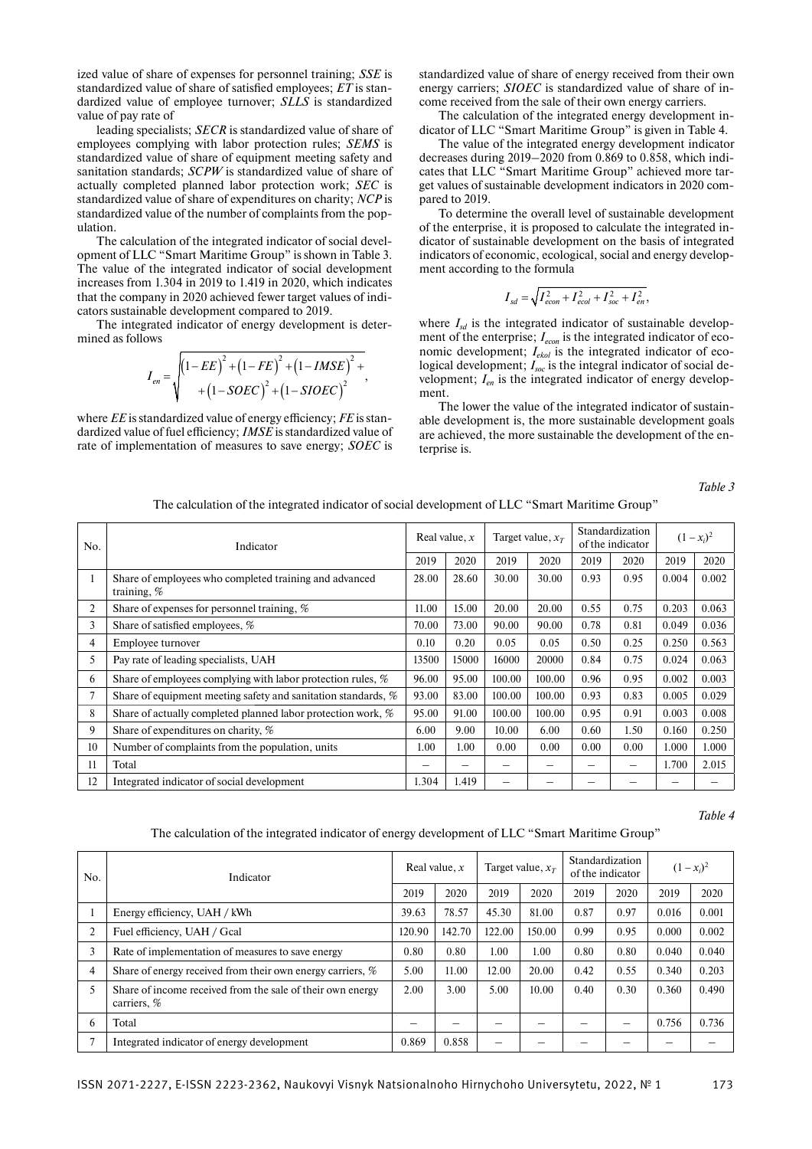ized value of share of expenses for personnel training; *SSE* is standardized value of share of satisfied employees; *ET* is standardized value of employee turnover; *SLLS* is standardized value of pay rate of

leading specialists; *SECR* is standardized value of share of employees complying with labor protection rules; *SEMS* is standardized value of share of equipment meeting safety and sanitation standards; *SCPW* is standardized value of share of actually completed planned labor protection work; *SEC* is standardized value of share of expenditures on charity; *NCP* is standardized value of the number of complaints from the population.

The calculation of the integrated indicator of social development of LLC "Smart Maritime Group" is shown in Table 3. The value of the integrated indicator of social development increases from 1.304 in 2019 to 1.419 in 2020, which indicates that the company in 2020 achieved fewer target values of indicators sustainable development compared to 2019.

The integrated indicator of energy development is determined as follows

$$
I_{en} = \sqrt{\frac{(1 - EE)^{2} + (1 - FE)^{2} + (1 - IMSE)^{2} + (1 - SOEC)^{2} + (1 - SOEC)^{2}}{1 - SOEC} + \frac{1}{2} + \frac{1}{2} \cdot \frac{1}{2} + \frac{1}{2} \cdot \frac{1}{2} + \frac{1}{2} \cdot \frac{1}{2} + \frac{1}{2} \cdot \frac{1}{2} + \frac{1}{2} \cdot \frac{1}{2} + \frac{1}{2} \cdot \frac{1}{2} + \frac{1}{2} \cdot \frac{1}{2} + \frac{1}{2} \cdot \frac{1}{2} + \frac{1}{2} \cdot \frac{1}{2} + \frac{1}{2} \cdot \frac{1}{2} + \frac{1}{2} \cdot \frac{1}{2} + \frac{1}{2} \cdot \frac{1}{2} + \frac{1}{2} \cdot \frac{1}{2} + \frac{1}{2} \cdot \frac{1}{2} + \frac{1}{2} \cdot \frac{1}{2} + \frac{1}{2} \cdot \frac{1}{2} + \frac{1}{2} \cdot \frac{1}{2} + \frac{1}{2} \cdot \frac{1}{2} + \frac{1}{2} \cdot \frac{1}{2} + \frac{1}{2} \cdot \frac{1}{2} + \frac{1}{2} \cdot \frac{1}{2} + \frac{1}{2} \cdot \frac{1}{2} + \frac{1}{2} \cdot \frac{1}{2} + \frac{1}{2} \cdot \frac{1}{2} + \frac{1}{2} \cdot \frac{1}{2} + \frac{1}{2} \cdot \frac{1}{2} + \frac{1}{2} \cdot \frac{1}{2} + \frac{1}{2} \cdot \frac{1}{2} + \frac{1}{2} \cdot \frac{1}{2} + \frac{1}{2} \cdot \frac{1}{2} + \frac{1}{2} \cdot \frac{1}{2} + \frac{1}{2} \cdot \frac{1}{2} + \frac{1}{2} \cdot \frac{1}{2} + \frac{1}{2} \cdot \frac{1}{2} + \frac{1}{2} \cdot \frac{1}{2} + \frac{1}{2} \cdot \frac{1}{2} + \frac{1}{2} \cdot \frac{1}{2} + \frac{1}{2} \cdot \frac{1}{2} + \frac{1}{2} \cdot \frac{1}{2} + \frac{1}{2} \cdot \frac{1}{2} + \frac{1}{2} \
$$

where *EE* is standardized value of energy efficiency; *FE* is standardized value of fuel efficiency; *IMSE* is standardized value of rate of implementation of measures to save energy; *SOEC* is

standardized value of share of energy received from their own energy carriers; *SIOEC* is standardized value of share of income received from the sale of their own energy carriers.

The calculation of the integrated energy development indicator of LLC "Smart Maritime Group" is given in Table 4.

The value of the integrated energy development indicator decreases during 2019–2020 from 0.869 to 0.858, which indicates that LLC "Smart Maritime Group" achieved more target values of sustainable development indicators in 2020 compared to 2019.

To determine the overall level of sustainable development of the enterprise, it is proposed to calculate the integrated indicator of sustainable development on the basis of integrated indicators of economic, ecological, social and energy development according to the formula

$$
I_{sd} = \sqrt{I_{econ}^2 + I_{ecol}^2 + I_{soc}^2 + I_{en}^2},
$$

where  $I_{sd}$  is the integrated indicator of sustainable development of the enterprise;  $I_{econ}$  is the integrated indicator of economic development; *Iekol* is the integrated indicator of ecological development;  $I_{\text{soc}}$  is the integral indicator of social development; *Ien* is the integrated indicator of energy development.

The lower the value of the integrated indicator of sustainable development is, the more sustainable development goals are achieved, the more sustainable the development of the enterprise is.

*Table 3*

The calculation of the integrated indicator of social development of LLC "Smart Maritime Group"

| No. | Indicator                                                               |       | Real value, $x$<br>Target value, $x_T$ |        |        | Standardization<br>of the indicator |      | $(1-x_i)^2$ |       |
|-----|-------------------------------------------------------------------------|-------|----------------------------------------|--------|--------|-------------------------------------|------|-------------|-------|
|     |                                                                         | 2019  | 2020                                   | 2019   | 2020   | 2019                                | 2020 | 2019        | 2020  |
| 1   | Share of employees who completed training and advanced<br>training, $%$ | 28.00 | 28.60                                  | 30.00  | 30.00  | 0.93                                | 0.95 | 0.004       | 0.002 |
| 2   | Share of expenses for personnel training, %                             | 11.00 | 15.00                                  | 20.00  | 20.00  | 0.55                                | 0.75 | 0.203       | 0.063 |
| 3   | Share of satisfied employees, %                                         | 70.00 | 73.00                                  | 90.00  | 90.00  | 0.78                                | 0.81 | 0.049       | 0.036 |
| 4   | Employee turnover                                                       | 0.10  | 0.20                                   | 0.05   | 0.05   | 0.50                                | 0.25 | 0.250       | 0.563 |
| 5   | Pay rate of leading specialists, UAH                                    | 13500 | 15000                                  | 16000  | 20000  | 0.84                                | 0.75 | 0.024       | 0.063 |
| 6.  | Share of employees complying with labor protection rules, %             | 96.00 | 95.00                                  | 100.00 | 100.00 | 0.96                                | 0.95 | 0.002       | 0.003 |
|     | Share of equipment meeting safety and sanitation standards, %           | 93.00 | 83.00                                  | 100.00 | 100.00 | 0.93                                | 0.83 | 0.005       | 0.029 |
| 8   | Share of actually completed planned labor protection work, %            | 95.00 | 91.00                                  | 100.00 | 100.00 | 0.95                                | 0.91 | 0.003       | 0.008 |
| 9   | Share of expenditures on charity, %                                     | 6.00  | 9.00                                   | 10.00  | 6.00   | 0.60                                | 1.50 | 0.160       | 0.250 |
| 10  | Number of complaints from the population, units                         | 1.00  | 1.00                                   | 0.00   | 0.00   | 0.00                                | 0.00 | 1.000       | 1.000 |
| 11  | Total                                                                   |       |                                        |        |        |                                     |      | 1.700       | 2.015 |
| 12  | Integrated indicator of social development                              | 1.304 | 1.419                                  |        |        |                                     |      |             |       |

*Table 4*

The calculation of the integrated indicator of energy development of LLC "Smart Maritime Group"

| No. | Indicator                                                                 |        | Real value, $x$ |        | Target value, $x_T$ | Standardization<br>of the indicator |      | $(1-x_i)^2$ |       |
|-----|---------------------------------------------------------------------------|--------|-----------------|--------|---------------------|-------------------------------------|------|-------------|-------|
|     |                                                                           | 2019   | 2020            | 2019   | 2020                | 2019                                | 2020 | 2019        | 2020  |
|     | Energy efficiency, UAH / kWh                                              | 39.63  | 78.57           | 45.30  | 81.00               | 0.87                                | 0.97 | 0.016       | 0.001 |
| 2   | Fuel efficiency, UAH / Gcal                                               | 120.90 | 142.70          | 122.00 | 150.00              | 0.99                                | 0.95 | 0.000       | 0.002 |
| 3   | Rate of implementation of measures to save energy                         | 0.80   | 0.80            | 1.00   | 1.00                | 0.80                                | 0.80 | 0.040       | 0.040 |
| 4   | Share of energy received from their own energy carriers, %                | 5.00   | 11.00           | 12.00  | 20.00               | 0.42                                | 0.55 | 0.340       | 0.203 |
| 5   | Share of income received from the sale of their own energy<br>carriers, % | 2.00   | 3.00            | 5.00   | 10.00               | 0.40                                | 0.30 | 0.360       | 0.490 |
| 6   | Total                                                                     |        |                 |        |                     |                                     | -    | 0.756       | 0.736 |
|     | Integrated indicator of energy development                                | 0.869  | 0.858           |        |                     |                                     |      |             |       |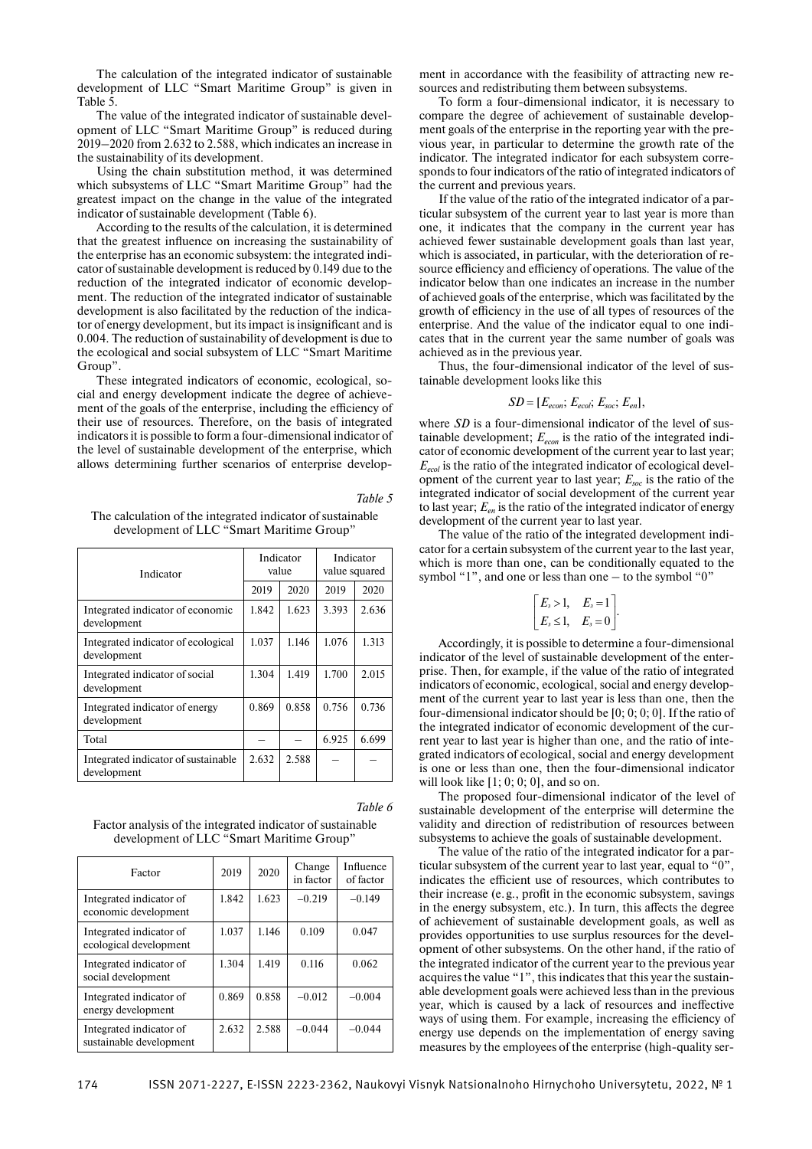The calculation of the integrated indicator of sustainable development of LLC "Smart Maritime Group" is given in Table 5.

The value of the integrated indicator of sustainable development of LLC "Smart Maritime Group" is reduced during 2019–2020 from 2.632 to 2.588, which indicates an increase in the sustainability of its development.

Using the chain substitution method, it was determined which subsystems of LLC "Smart Maritime Group" had the greatest impact on the change in the value of the integrated indicator of sustainable development (Table 6).

According to the results of the calculation, it is determined that the greatest influence on increasing the sustainability of the enterprise has an economic subsystem: the integrated indicator of sustainable development is reduced by 0.149 due to the reduction of the integrated indicator of economic development. The reduction of the integrated indicator of sustainable development is also facilitated by the reduction of the indicator of energy development, but its impact is insignificant and is 0.004. The reduction of sustainability of development is due to the ecological and social subsystem of LLC "Smart Maritime Group".

These integrated indicators of economic, ecological, social and energy development indicate the degree of achievement of the goals of the enterprise, including the efficiency of their use of resources. Therefore, on the basis of integrated indicators it is possible to form a four-dimensional indicator of the level of sustainable development of the enterprise, which allows determining further scenarios of enterprise develop-

*Table 5*

*Table 6*

The calculation of the integrated indicator of sustainable development of LLC "Smart Maritime Group"

| Indicator                                           |       | Indicator<br>value | Indicator<br>value squared |       |  |
|-----------------------------------------------------|-------|--------------------|----------------------------|-------|--|
|                                                     | 2019  | 2020               | 2019                       | 2020  |  |
| Integrated indicator of economic<br>development     | 1.842 | 1.623              | 3.393                      | 2.636 |  |
| Integrated indicator of ecological<br>development   | 1.037 | 1.146              | 1.076                      | 1.313 |  |
| Integrated indicator of social<br>development       | 1.304 | 1.419              | 1.700                      | 2.015 |  |
| Integrated indicator of energy<br>development       | 0.869 | 0.858              | 0.756                      | 0.736 |  |
| Total                                               |       |                    | 6.925                      | 6.699 |  |
| Integrated indicator of sustainable.<br>development | 2.632 | 2.588              |                            |       |  |

Factor analysis of the integrated indicator of sustainable development of LLC "Smart Maritime Group"

| Factor                                             | 2019  | 2020  | Change<br>in factor | Influence<br>of factor |
|----------------------------------------------------|-------|-------|---------------------|------------------------|
| Integrated indicator of<br>economic development    | 1.842 | 1.623 | $-0.219$            | $-0.149$               |
| Integrated indicator of<br>ecological development  | 1.037 | 1.146 | 0.109               | 0.047                  |
| Integrated indicator of<br>social development      | 1.304 | 1.419 | 0.116               | 0.062                  |
| Integrated indicator of<br>energy development      | 0.869 | 0.858 | $-0.012$            | $-0.004$               |
| Integrated indicator of<br>sustainable development | 2.632 | 2.588 | $-0.044$            | $-0.044$               |

ment in accordance with the feasibility of attracting new resources and redistributing them between subsystems.

To form a four-dimensional indicator, it is necessary to compare the degree of achievement of sustainable development goals of the enterprise in the reporting year with the previous year, in particular to determine the growth rate of the indicator. The integrated indicator for each subsystem corresponds to four indicators of the ratio of integrated indicators of the current and previous years.

If the value of the ratio of the integrated indicator of a particular subsystem of the current year to last year is more than one, it indicates that the company in the current year has achieved fewer sustainable development goals than last year, which is associated, in particular, with the deterioration of resource efficiency and efficiency of operations. The value of the indicator below than one indicates an increase in the number of achieved goals of the enterprise, which was facilitated by the growth of efficiency in the use of all types of resources of the enterprise. And the value of the indicator equal to one indicates that in the current year the same number of goals was achieved as in the previous year.

Thus, the four-dimensional indicator of the level of sustainable development looks like this

$$
SD = [E_{econ}; E_{ecol}; E_{soc}; E_{en}],
$$

where *SD* is a four-dimensional indicator of the level of sustainable development;  $E_{econ}$  is the ratio of the integrated indicator of economic development of the current year to last year; *Eecol* is the ratio of the integrated indicator of ecological development of the current year to last year; *Еsoc* is the ratio of the integrated indicator of social development of the current year to last year; *Еen* is the ratio of the integrated indicator of energy development of the current year to last year.

The value of the ratio of the integrated development indicator for a certain subsystem of the current year to the last year, which is more than one, can be conditionally equated to the symbol "1", and one or less than one – to the symbol "0"

$$
\begin{bmatrix} E_s > 1, & E_s = 1 \ E_s \leq 1, & E_s = 0 \end{bmatrix}.
$$

Accordingly, it is possible to determine a four-dimensional indicator of the level of sustainable development of the enterprise. Then, for example, if the value of the ratio of integrated indicators of economic, ecological, social and energy development of the current year to last year is less than one, then the four-dimensional indicator should be [0; 0; 0; 0]. If the ratio of the integrated indicator of economic development of the current year to last year is higher than one, and the ratio of integrated indicators of ecological, social and energy development is one or less than one, then the four-dimensional indicator will look like  $[1; 0; 0; 0]$ , and so on.

The proposed four-dimensional indicator of the level of sustainable development of the enterprise will determine the validity and direction of redistribution of resources between subsystems to achieve the goals of sustainable development.

The value of the ratio of the integrated indicator for a particular subsystem of the current year to last year, equal to "0", indicates the efficient use of resources, which contributes to their increase (e.g., profit in the economic subsystem, savings in the energy subsystem, etc.). In turn, this affects the degree of achievement of sustainable development goals, as well as provides opportunities to use surplus resources for the development of other subsystems. On the other hand, if the ratio of the integrated indicator of the current year to the previous year acquires the value "1", this indicates that this year the sustainable development goals were achieved less than in the previous year, which is caused by a lack of resources and ineffective ways of using them. For example, increasing the efficiency of energy use depends on the implementation of energy saving measures by the employees of the enterprise (high-quality ser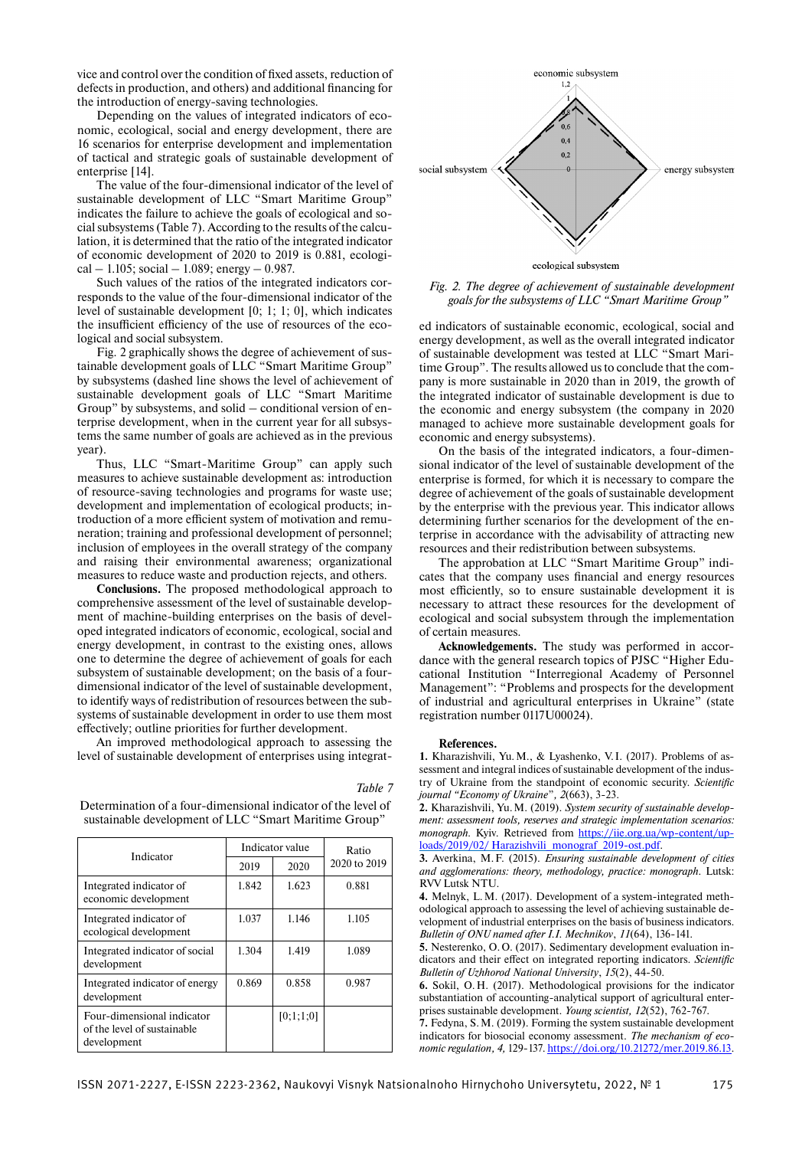vice and control over the condition of fixed assets, reduction of defects in production, and others) and additional financing for the introduction of energy-saving technologies.

Depending on the values of integrated indicators of economic, ecological, social and energy development, there are 16 scenarios for enterprise development and implementation of tactical and strategic goals of sustainable development of enterprise [14].

The value of the four-dimensional indicator of the level of sustainable development of LLC "Smart Maritime Group" indicates the failure to achieve the goals of ecological and social subsystems (Table 7). According to the results of the calculation, it is determined that the ratio of the integrated indicator of economic development of 2020 to 2019 is 0.881, ecologi $cal - 1.105$ ; social  $-1.089$ ; energy  $- 0.987$ .

Such values of the ratios of the integrated indicators corresponds to the value of the four-dimensional indicator of the level of sustainable development [0; 1; 1; 0], which indicates the insufficient efficiency of the use of resources of the ecological and social subsystem.

Fig. 2 graphically shows the degree of achievement of sustainable development goals of LLC "Smart Maritime Group" by subsystems (dashed line shows the level of achievement of sustainable development goals of LLC "Smart Maritime Group" by subsystems, and solid – conditional version of enterprise development, when in the current year for all subsystems the same number of goals are achieved as in the previous year).

Thus, LLC "Smart-Maritime Group" can apply such measures to achieve sustainable development as: introduction of resource-saving technologies and programs for waste use; development and implementation of ecological products; introduction of a more efficient system of motivation and remuneration; training and professional development of personnel; inclusion of employees in the overall strategy of the company and raising their environmental awareness; organizational measures to reduce waste and production rejects, and others.

**Conclusions.** The proposed methodological approach to comprehensive assessment of the level of sustainable development of machine-building enterprises on the basis of developed integrated indicators of economic, ecological, social and energy development, in contrast to the existing ones, allows one to determine the degree of achievement of goals for each subsystem of sustainable development; on the basis of a fourdimensional indicator of the level of sustainable development, to identify ways of redistribution of resources between the subsystems of sustainable development in order to use them most effectively; outline priorities for further development.

An improved methodological approach to assessing the level of sustainable development of enterprises using integrat-

Determination of a four-dimensional indicator of the level of sustainable development of LLC "Smart Maritime Group"

Indicator Indicator value Ratio  $2019$   $2020$   $2020$  to 2019 Integrated indicator of economic development 1.842 1.623 0.881 Integrated indicator of ecological development 1.037 1.146 1.105 Integrated indicator of social development 1.304 1.419 1.089 Integrated indicator of energy development 0.869 0.858 0.987 Four-dimensional indicator of the level of sustainable development [0;1;1;0]

*Table 7*



*Fig. 2. The degree of achievement of sustainable development goals for the subsystems of LLC "Smart Maritime Group"*

ed indicators of sustainable economic, ecological, social and energy development, as well as the overall integrated indicator of sustainable development was tested at LLC "Smart Maritime Group". The results allowed us to conclude that the company is more sustainable in 2020 than in 2019, the growth of the integrated indicator of sustainable development is due to the economic and energy subsystem (the company in 2020 managed to achieve more sustainable development goals for economic and energy subsystems).

On the basis of the integrated indicators, a four-dimensional indicator of the level of sustainable development of the enterprise is formed, for which it is necessary to compare the degree of achievement of the goals of sustainable development by the enterprise with the previous year. This indicator allows determining further scenarios for the development of the enterprise in accordance with the advisability of attracting new resources and their redistribution between subsystems.

The approbation at LLC "Smart Maritime Group" indicates that the company uses financial and energy resources most efficiently, so to ensure sustainable development it is necessary to attract these resources for the development of ecological and social subsystem through the implementation of certain measures.

**Acknowledgements.** The study was performed in accordance with the general research topics of PJSC "Higher Educational Institution "Interregional Academy of Personnel Management": "Problems and prospects for the development of industrial and agricultural enterprises in Ukraine" (state registration number 0117U00024).

### **References.**

**1.** Kharazishvili, Yu. M., & Lyashenko, V. I. (2017). Problems of assessment and integral indices of sustainable development of the industry of Ukraine from the standpoint of economic security. *Scientific journal "Economy of Ukraine*"*, 2*(663), 3-23.

**2.** Kharazishvili, Yu. M. (2019). *System security of sustainable development: assessment tools, reserves and strategic implementation scenarios: monograph.* Kyiv. Retrieved from https://iie.org.ua/wp-content/uploads/2019/02/ Harazishvili\_monograf\_2019-ost.pdf.

**3.** Averkina, M. F. (2015). *Ensuring sustainable development of cities and agglomerations: theory, methodology, practice: monograph.* Lutsk: RVV Lutsk NTU.

**4.** Melnyk, L. M. (2017). Development of a system-integrated methodological approach to assessing the level of achieving sustainable development of industrial enterprises on the basis of business indicators. *Bulletin of ONU named after I.I. Mechnikov*, *11*(64), 136-141.

**5.** Nesterenko, O. O. (2017). Sedimentary development evaluation indicators and their effect on integrated reporting indicators. Scientific *Bulletin of Uzhhorod National University*, *15*(2), 44-50.

**6.** Sokil, O. H. (2017). Methodological provisions for the indicator substantiation of accounting-analytical support of agricultural enterprises sustainable development. *Young scientist, 12*(52), 762-767.

**7.** Fedyna, S. M. (2019). Forming the system sustainable development indicators for biosocial economy assessment. *The mechanism of economic regulation, 4,* 129-137. https://doi.org/10.21272/mer.2019.86.13.